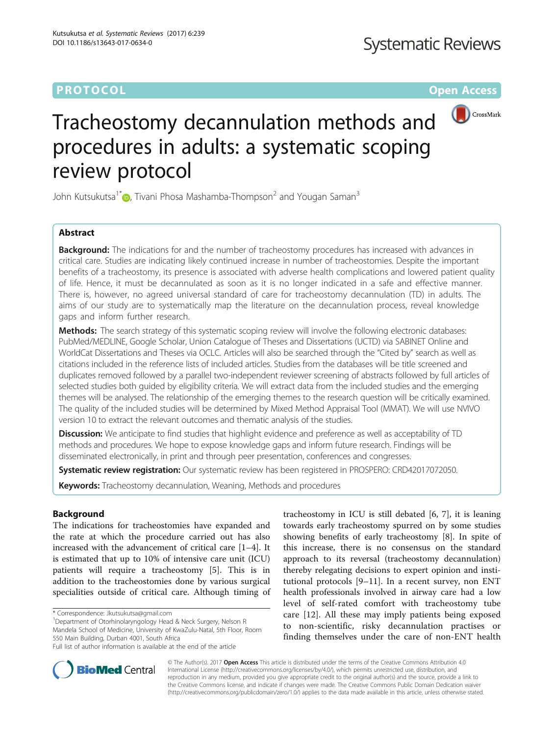# **PROTOCOL CONSUMING THE OPEN ACCESS**



# Tracheostomy decannulation methods and procedures in adults: a systematic scoping review protocol

John Kutsukutsa<sup>1[\\*](http://orcid.org/0000-0002-5526-3786)</sup> $\odot$ , Tivani Phosa Mashamba-Thompson<sup>2</sup> and Yougan Saman<sup>3</sup>

## Abstract

**Background:** The indications for and the number of tracheostomy procedures has increased with advances in critical care. Studies are indicating likely continued increase in number of tracheostomies. Despite the important benefits of a tracheostomy, its presence is associated with adverse health complications and lowered patient quality of life. Hence, it must be decannulated as soon as it is no longer indicated in a safe and effective manner. There is, however, no agreed universal standard of care for tracheostomy decannulation (TD) in adults. The aims of our study are to systematically map the literature on the decannulation process, reveal knowledge gaps and inform further research.

**Methods:** The search strategy of this systematic scoping review will involve the following electronic databases: PubMed/MEDLINE, Google Scholar, Union Catalogue of Theses and Dissertations (UCTD) via SABINET Online and WorldCat Dissertations and Theses via OCLC. Articles will also be searched through the "Cited by" search as well as citations included in the reference lists of included articles. Studies from the databases will be title screened and duplicates removed followed by a parallel two-independent reviewer screening of abstracts followed by full articles of selected studies both guided by eligibility criteria. We will extract data from the included studies and the emerging themes will be analysed. The relationship of the emerging themes to the research question will be critically examined. The quality of the included studies will be determined by Mixed Method Appraisal Tool (MMAT). We will use NVIVO version 10 to extract the relevant outcomes and thematic analysis of the studies.

**Discussion:** We anticipate to find studies that highlight evidence and preference as well as acceptability of TD methods and procedures. We hope to expose knowledge gaps and inform future research. Findings will be disseminated electronically, in print and through peer presentation, conferences and congresses.

Systematic review registration: Our systematic review has been registered in PROSPERO: [CRD42017072050](http://www.crd.york.ac.uk/PROSPERO/display_record.php?ID=CRD42017072050).

Keywords: Tracheostomy decannulation, Weaning, Methods and procedures

## Background

The indications for tracheostomies have expanded and the rate at which the procedure carried out has also increased with the advancement of critical care [[1](#page-4-0)–[4](#page-4-0)]. It is estimated that up to 10% of intensive care unit (ICU) patients will require a tracheostomy [\[5](#page-4-0)]. This is in addition to the tracheostomies done by various surgical specialities outside of critical care. Although timing of

\* Correspondence: [Jkutsukutsa@gmail.com](mailto:Jkutsukutsa@gmail.com) <sup>1</sup>

<sup>1</sup>Department of Otorhinolaryngology Head & Neck Surgery, Nelson R Mandela School of Medicine, University of KwaZulu-Natal, 5th Floor, Room 550 Main Building, Durban 4001, South Africa

tracheostomy in ICU is still debated [\[6](#page-4-0), [7](#page-4-0)], it is leaning towards early tracheostomy spurred on by some studies showing benefits of early tracheostomy [[8\]](#page-4-0). In spite of this increase, there is no consensus on the standard approach to its reversal (tracheostomy decannulation) thereby relegating decisions to expert opinion and institutional protocols [[9](#page-4-0)–[11](#page-4-0)]. In a recent survey, non ENT health professionals involved in airway care had a low level of self-rated comfort with tracheostomy tube care [\[12\]](#page-4-0). All these may imply patients being exposed to non-scientific, risky decannulation practises or finding themselves under the care of non-ENT health



© The Author(s). 2017 **Open Access** This article is distributed under the terms of the Creative Commons Attribution 4.0 International License [\(http://creativecommons.org/licenses/by/4.0/](http://creativecommons.org/licenses/by/4.0/)), which permits unrestricted use, distribution, and reproduction in any medium, provided you give appropriate credit to the original author(s) and the source, provide a link to the Creative Commons license, and indicate if changes were made. The Creative Commons Public Domain Dedication waiver [\(http://creativecommons.org/publicdomain/zero/1.0/](http://creativecommons.org/publicdomain/zero/1.0/)) applies to the data made available in this article, unless otherwise stated.

Full list of author information is available at the end of the article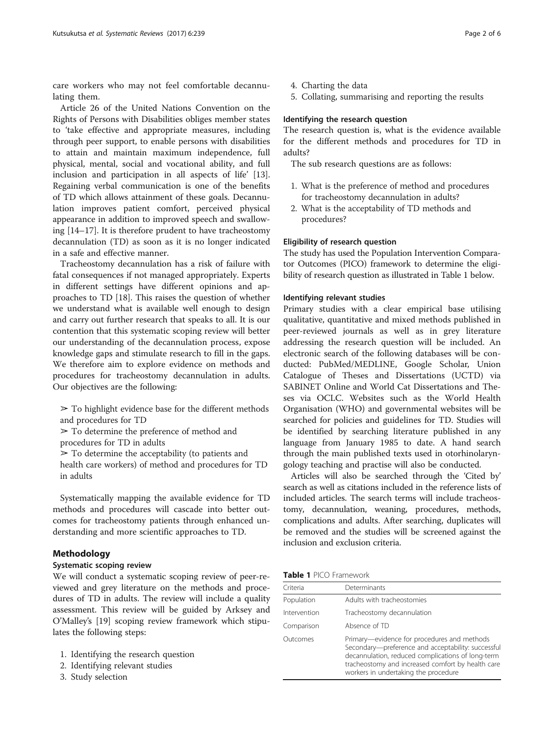care workers who may not feel comfortable decannulating them.

Article 26 of the United Nations Convention on the Rights of Persons with Disabilities obliges member states to 'take effective and appropriate measures, including through peer support, to enable persons with disabilities to attain and maintain maximum independence, full physical, mental, social and vocational ability, and full inclusion and participation in all aspects of life' [\[13](#page-4-0)]. Regaining verbal communication is one of the benefits of TD which allows attainment of these goals. Decannulation improves patient comfort, perceived physical appearance in addition to improved speech and swallowing [\[14](#page-4-0)–[17\]](#page-4-0). It is therefore prudent to have tracheostomy decannulation (TD) as soon as it is no longer indicated in a safe and effective manner.

Tracheostomy decannulation has a risk of failure with fatal consequences if not managed appropriately. Experts in different settings have different opinions and approaches to TD [\[18](#page-5-0)]. This raises the question of whether we understand what is available well enough to design and carry out further research that speaks to all. It is our contention that this systematic scoping review will better our understanding of the decannulation process, expose knowledge gaps and stimulate research to fill in the gaps. We therefore aim to explore evidence on methods and procedures for tracheostomy decannulation in adults. Our objectives are the following:

 $\geq$  To highlight evidence base for the different methods and procedures for TD

➢ To determine the preference of method and

procedures for TD in adults

 $\geq$  To determine the acceptability (to patients and

health care workers) of method and procedures for TD in adults

Systematically mapping the available evidence for TD methods and procedures will cascade into better outcomes for tracheostomy patients through enhanced understanding and more scientific approaches to TD.

## Methodology

## Systematic scoping review

We will conduct a systematic scoping review of peer-reviewed and grey literature on the methods and procedures of TD in adults. The review will include a quality assessment. This review will be guided by Arksey and O'Malley's [\[19](#page-5-0)] scoping review framework which stipulates the following steps:

- 1. Identifying the research question
- 2. Identifying relevant studies
- 3. Study selection
- 4. Charting the data
- 5. Collating, summarising and reporting the results

#### Identifying the research question

The research question is, what is the evidence available for the different methods and procedures for TD in adults?

The sub research questions are as follows:

- 1. What is the preference of method and procedures for tracheostomy decannulation in adults?
- 2. What is the acceptability of TD methods and procedures?

#### Eligibility of research question

The study has used the Population Intervention Comparator Outcomes (PICO) framework to determine the eligibility of research question as illustrated in Table 1 below.

#### Identifying relevant studies

Primary studies with a clear empirical base utilising qualitative, quantitative and mixed methods published in peer-reviewed journals as well as in grey literature addressing the research question will be included. An electronic search of the following databases will be conducted: PubMed/MEDLINE, Google Scholar, Union Catalogue of Theses and Dissertations (UCTD) via SABINET Online and World Cat Dissertations and Theses via OCLC. Websites such as the World Health Organisation (WHO) and governmental websites will be searched for policies and guidelines for TD. Studies will be identified by searching literature published in any language from January 1985 to date. A hand search through the main published texts used in otorhinolaryngology teaching and practise will also be conducted.

Articles will also be searched through the 'Cited by' search as well as citations included in the reference lists of included articles. The search terms will include tracheostomy, decannulation, weaning, procedures, methods, complications and adults. After searching, duplicates will be removed and the studies will be screened against the inclusion and exclusion criteria.

Table 1 PICO Framework

| Criteria     | Determinants                                                                                                                                                                                                                                        |
|--------------|-----------------------------------------------------------------------------------------------------------------------------------------------------------------------------------------------------------------------------------------------------|
| Population   | Adults with tracheostomies                                                                                                                                                                                                                          |
| Intervention | Tracheostomy decannulation                                                                                                                                                                                                                          |
| Comparison   | Absence of TD                                                                                                                                                                                                                                       |
| Outcomes     | Primary-evidence for procedures and methods<br>Secondary-preference and acceptability: successful<br>decannulation, reduced complications of long-term<br>tracheostomy and increased comfort by health care<br>workers in undertaking the procedure |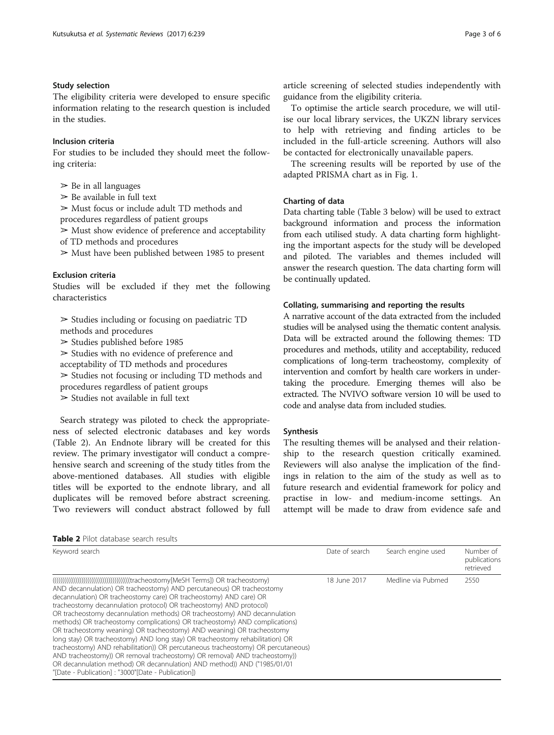## Study selection

The eligibility criteria were developed to ensure specific information relating to the research question is included in the studies.

## Inclusion criteria

For studies to be included they should meet the following criteria:

- $\geq$  Be in all languages
- $\geq$  Be available in full text

➢ Must focus or include adult TD methods and

procedures regardless of patient groups

- ➢ Must show evidence of preference and acceptability of TD methods and procedures
- $\geq$  Must have been published between 1985 to present

#### Exclusion criteria

Studies will be excluded if they met the following characteristics

- ➢ Studies including or focusing on paediatric TD methods and procedures
- ➢ Studies published before 1985
- ➢ Studies with no evidence of preference and
- acceptability of TD methods and procedures
- ➢ Studies not focusing or including TD methods and

procedures regardless of patient groups

 $\geq$  Studies not available in full text

Search strategy was piloted to check the appropriateness of selected electronic databases and key words (Table 2). An Endnote library will be created for this review. The primary investigator will conduct a comprehensive search and screening of the study titles from the above-mentioned databases. All studies with eligible titles will be exported to the endnote library, and all duplicates will be removed before abstract screening. Two reviewers will conduct abstract followed by full

Table 2 Pilot database search results

article screening of selected studies independently with guidance from the eligibility criteria.

To optimise the article search procedure, we will utilise our local library services, the UKZN library services to help with retrieving and finding articles to be included in the full-article screening. Authors will also be contacted for electronically unavailable papers.

The screening results will be reported by use of the adapted PRISMA chart as in Fig. [1.](#page-3-0)

#### Charting of data

Data charting table (Table [3](#page-3-0) below) will be used to extract background information and process the information from each utilised study. A data charting form highlighting the important aspects for the study will be developed and piloted. The variables and themes included will answer the research question. The data charting form will be continually updated.

#### Collating, summarising and reporting the results

A narrative account of the data extracted from the included studies will be analysed using the thematic content analysis. Data will be extracted around the following themes: TD procedures and methods, utility and acceptability, reduced complications of long-term tracheostomy, complexity of intervention and comfort by health care workers in undertaking the procedure. Emerging themes will also be extracted. The NVIVO software version 10 will be used to code and analyse data from included studies.

#### Synthesis

The resulting themes will be analysed and their relationship to the research question critically examined. Reviewers will also analyse the implication of the findings in relation to the aim of the study as well as to future research and evidential framework for policy and practise in low- and medium-income settings. An attempt will be made to draw from evidence safe and

| Keyword search                                                                                                                                                                                                                                                                                                                                                                                                                                                                                                                                                                                                                                                                                                                                                                                                                                 | Date of search | Search engine used | Number of<br>publications<br>retrieved |
|------------------------------------------------------------------------------------------------------------------------------------------------------------------------------------------------------------------------------------------------------------------------------------------------------------------------------------------------------------------------------------------------------------------------------------------------------------------------------------------------------------------------------------------------------------------------------------------------------------------------------------------------------------------------------------------------------------------------------------------------------------------------------------------------------------------------------------------------|----------------|--------------------|----------------------------------------|
| AND decannulation) OR tracheostomy) AND percutaneous) OR tracheostomy<br>decannulation) OR tracheostomy care) OR tracheostomy) AND care) OR<br>tracheostomy decannulation protocol) OR tracheostomy) AND protocol)<br>OR tracheostomy decannulation methods) OR tracheostomy) AND decannulation<br>methods) OR tracheostomy complications) OR tracheostomy) AND complications)<br>OR tracheostomy weaning) OR tracheostomy) AND weaning) OR tracheostomy<br>long stay) OR tracheostomy) AND long stay) OR tracheostomy rehabilitation) OR<br>tracheostomy) AND rehabilitation)) OR percutaneous tracheostomy) OR percutaneous)<br>AND tracheostomy)) OR removal tracheostomy) OR removal) AND tracheostomy))<br>OR decannulation method) OR decannulation) AND method)) AND ("1985/01/01<br>"[Date - Publication]: "3000"[Date - Publication]) | 18 June 2017   | Medline via Pubmed | 2550                                   |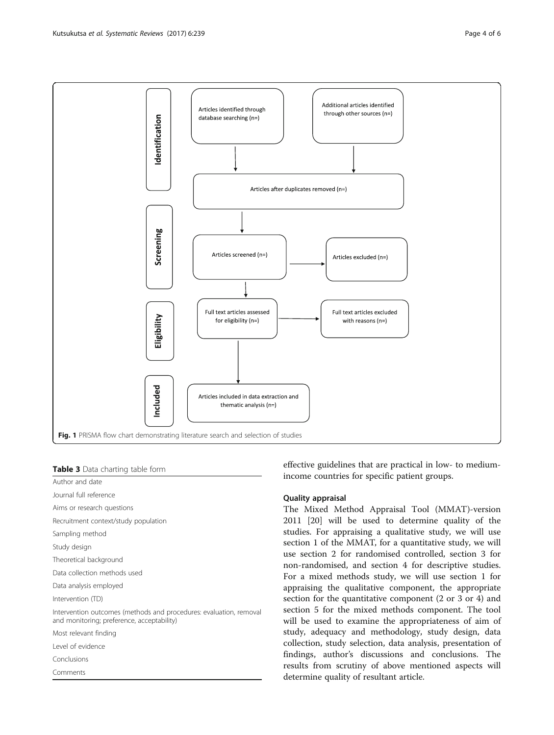<span id="page-3-0"></span>

#### Table 3 Data charting table form

Author and date Journal full reference Aims or research questions Recruitment context/study population Sampling method Study design Theoretical background Data collection methods used Data analysis employed Intervention (TD) Intervention outcomes (methods and procedures: evaluation, removal and monitoring; preference, acceptability) Most relevant finding Level of evidence Conclusions Comments

effective guidelines that are practical in low- to mediumincome countries for specific patient groups.

## Quality appraisal

The Mixed Method Appraisal Tool (MMAT)-version 2011 [[20\]](#page-5-0) will be used to determine quality of the studies. For appraising a qualitative study, we will use section 1 of the MMAT, for a quantitative study, we will use section 2 for randomised controlled, section 3 for non-randomised, and section 4 for descriptive studies. For a mixed methods study, we will use section 1 for appraising the qualitative component, the appropriate section for the quantitative component (2 or 3 or 4) and section 5 for the mixed methods component. The tool will be used to examine the appropriateness of aim of study, adequacy and methodology, study design, data collection, study selection, data analysis, presentation of findings, author's discussions and conclusions. The results from scrutiny of above mentioned aspects will determine quality of resultant article.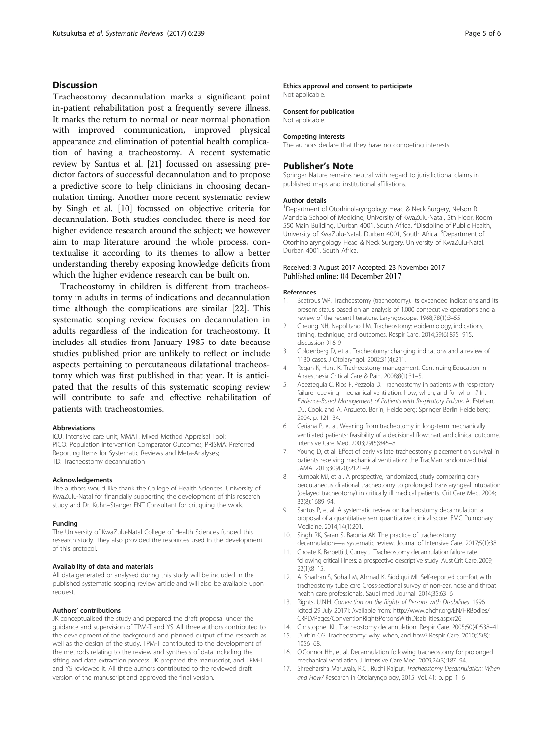## <span id="page-4-0"></span>**Discussion**

Tracheostomy decannulation marks a significant point in-patient rehabilitation post a frequently severe illness. It marks the return to normal or near normal phonation with improved communication, improved physical appearance and elimination of potential health complication of having a tracheostomy. A recent systematic review by Santus et al. [\[21](#page-5-0)] focussed on assessing predictor factors of successful decannulation and to propose a predictive score to help clinicians in choosing decannulation timing. Another more recent systematic review by Singh et al. [10] focussed on objective criteria for decannulation. Both studies concluded there is need for higher evidence research around the subject; we however aim to map literature around the whole process, contextualise it according to its themes to allow a better understanding thereby exposing knowledge deficits from which the higher evidence research can be built on.

Tracheostomy in children is different from tracheostomy in adults in terms of indications and decannulation time although the complications are similar [[22](#page-5-0)]. This systematic scoping review focuses on decannulation in adults regardless of the indication for tracheostomy. It includes all studies from January 1985 to date because studies published prior are unlikely to reflect or include aspects pertaining to percutaneous dilatational tracheostomy which was first published in that year. It is anticipated that the results of this systematic scoping review will contribute to safe and effective rehabilitation of patients with tracheostomies.

#### Abbreviations

ICU: Intensive care unit; MMAT: Mixed Method Appraisal Tool; PICO: Population Intervention Comparator Outcomes; PRISMA: Preferred Reporting Items for Systematic Reviews and Meta-Analyses; TD: Tracheostomy decannulation

#### Acknowledgements

The authors would like thank the College of Health Sciences, University of KwaZulu-Natal for financially supporting the development of this research study and Dr. Kuhn–Stanger ENT Consultant for critiquing the work.

#### Funding

The University of KwaZulu-Natal College of Health Sciences funded this research study. They also provided the resources used in the development of this protocol.

#### Availability of data and materials

All data generated or analysed during this study will be included in the published systematic scoping review article and will also be available upon request.

#### Authors' contributions

JK conceptualised the study and prepared the draft proposal under the guidance and supervision of TPM-T and YS. All three authors contributed to the development of the background and planned output of the research as well as the design of the study. TPM-T contributed to the development of the methods relating to the review and synthesis of data including the sifting and data extraction process. JK prepared the manuscript, and TPM-T and YS reviewed it. All three authors contributed to the reviewed draft version of the manuscript and approved the final version.

#### Ethics approval and consent to participate

Not applicable.

## Consent for publication

Not applicable.

#### Competing interests

The authors declare that they have no competing interests.

#### Publisher's Note

Springer Nature remains neutral with regard to jurisdictional claims in published maps and institutional affiliations.

#### Author details

<sup>1</sup>Department of Otorhinolaryngology Head & Neck Surgery, Nelson R Mandela School of Medicine, University of KwaZulu-Natal, 5th Floor, Room 550 Main Building, Durban 4001, South Africa. <sup>2</sup>Discipline of Public Health University of KwaZulu-Natal, Durban 4001, South Africa. <sup>3</sup>Department of Otorhinolaryngology Head & Neck Surgery, University of KwaZulu-Natal, Durban 4001, South Africa.

#### Received: 3 August 2017 Accepted: 23 November 2017 Published online: 04 December 2017

#### References

- 1. Beatrous WP. Tracheostomy (tracheotomy). Its expanded indications and its present status based on an analysis of 1,000 consecutive operations and a review of the recent literature. Laryngoscope. 1968;78(1):3–55.
- 2. Cheung NH, Napolitano LM. Tracheostomy: epidemiology, indications, timing, technique, and outcomes. Respir Care. 2014;59(6):895–915. discussion 916-9
- 3. Goldenberg D, et al. Tracheotomy: changing indications and a review of 1130 cases. J Otolaryngol. 2002;31(4):211.
- 4. Regan K, Hunt K. Tracheostomy management. Continuing Education in Anaesthesia Critical Care & Pain. 2008;8(1):31–5.
- 5. Apezteguia C, Ríos F, Pezzola D. Tracheostomy in patients with respiratory failure receiving mechanical ventilation: how, when, and for whom? In: Evidence-Based Management of Patients with Respiratory Failure, A. Esteban, D.J. Cook, and A. Anzueto. Berlin, Heidelberg: Springer Berlin Heidelberg; 2004. p. 121–34.
- 6. Ceriana P, et al. Weaning from tracheotomy in long-term mechanically ventilated patients: feasibility of a decisional flowchart and clinical outcome. Intensive Care Med. 2003;29(5):845–8.
- 7. Young D, et al. Effect of early vs late tracheostomy placement on survival in patients receiving mechanical ventilation: the TracMan randomized trial. JAMA. 2013;309(20):2121–9.
- 8. Rumbak MJ, et al. A prospective, randomized, study comparing early percutaneous dilational tracheotomy to prolonged translaryngeal intubation (delayed tracheotomy) in critically ill medical patients. Crit Care Med. 2004; 32(8):1689–94.
- 9. Santus P, et al. A systematic review on tracheostomy decannulation: a proposal of a quantitative semiquantitative clinical score. BMC Pulmonary Medicine. 2014;14(1):201.
- 10. Singh RK, Saran S, Baronia AK. The practice of tracheostomy decannulation—a systematic review. Journal of Intensive Care. 2017;5(1):38.
- 11. Choate K, Barbetti J, Currey J. Tracheostomy decannulation failure rate following critical illness: a prospective descriptive study. Aust Crit Care. 2009; 22(1):8–15.
- 12. Al Sharhan S, Sohail M, Ahmad K, Siddiqui MI. Self-reported comfort with tracheostomy tube care Cross-sectional survey of non-ear, nose and throat health care professionals. Saudi med Journal. 2014;35:63–6.
- 13. Rights, U.N.H. Convention on the Rights of Persons with Disabilities. 1996 [cited 29 July 2017]; Available from: [http://www.ohchr.org/EN/HRBodies/](http://www.ohchr.org/EN/HRBodies/CRPD/Pages/ConventionRightsPersonsWithDisabilities.aspx#26) [CRPD/Pages/ConventionRightsPersonsWithDisabilities.aspx#26](http://www.ohchr.org/EN/HRBodies/CRPD/Pages/ConventionRightsPersonsWithDisabilities.aspx#26).
- 14. Christopher KL. Tracheostomy decannulation. Respir Care. 2005;50(4):538–41.
- 15. Durbin CG. Tracheostomy: why, when, and how? Respir Care. 2010;55(8): 1056–68.
- 16. O'Connor HH, et al. Decannulation following tracheostomy for prolonged mechanical ventilation. J Intensive Care Med. 2009;24(3):187–94.
- 17. Shreeharsha Maruvala, R.C., Ruchi Rajput. Tracheostomy Decannulation: When and How? Research in Otolaryngology, 2015. Vol. 41: p. pp. 1–6